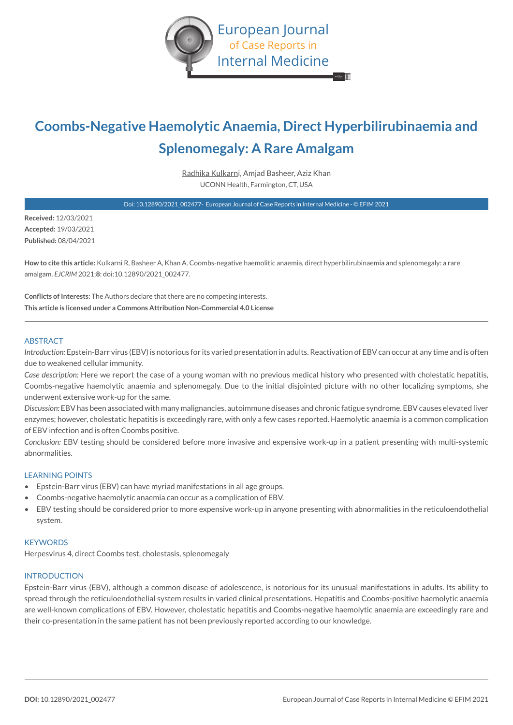

# **Coombs-Negative Haemolytic Anaemia, Direct Hyperbilirubinaemia and Splenomegaly: A Rare Amalgam**

Radhika Kulkarni, Amjad Basheer, Aziz Khan UCONN Health, Farmington, CT, USA

Doi: 10.12890/2021\_002477- European Journal of Case Reports in Internal Medicine - © EFIM 2021

**Received:** 12/03/2021 **Accepted:** 19/03/2021 **Published:** 08/04/2021

**How to cite this article:** Kulkarni R, Basheer A, Khan A. Coombs-negative haemolitic anaemia, direct hyperbilirubinaemia and splenomegaly: a rare amalgam. *EJCRIM* 2021;**8**: doi:10.12890/2021\_002477.

**Conflicts of Interests:** The Authors declare that there are no competing interests. **This article is licensed under a Commons Attribution Non-Commercial 4.0 License**

#### ABSTRACT

*Introduction:* Epstein-Barr virus (EBV) is notorious for its varied presentation in adults. Reactivation of EBV can occur at any time and is often due to weakened cellular immunity.

*Case description:* Here we report the case of a young woman with no previous medical history who presented with cholestatic hepatitis, Coombs-negative haemolytic anaemia and splenomegaly. Due to the initial disjointed picture with no other localizing symptoms, she underwent extensive work-up for the same.

*Discussion:* EBV has been associated with many malignancies, autoimmune diseases and chronic fatigue syndrome. EBV causes elevated liver enzymes; however, cholestatic hepatitis is exceedingly rare, with only a few cases reported. Haemolytic anaemia is a common complication of EBV infection and is often Coombs positive.

*Conclusion:* EBV testing should be considered before more invasive and expensive work-up in a patient presenting with multi-systemic abnormalities.

## LEARNING POINTS

- Epstein-Barr virus (EBV) can have myriad manifestations in all age groups.
- Coombs-negative haemolytic anaemia can occur as a complication of EBV.
- EBV testing should be considered prior to more expensive work-up in anyone presenting with abnormalities in the reticuloendothelial system.

#### **KEYWORDS**

Herpesvirus 4, direct Coombs test, cholestasis, splenomegaly

#### INTRODUCTION

Epstein-Barr virus (EBV), although a common disease of adolescence, is notorious for its unusual manifestations in adults. Its ability to spread through the reticuloendothelial system results in varied clinical presentations. Hepatitis and Coombs-positive haemolytic anaemia are well-known complications of EBV. However, cholestatic hepatitis and Coombs-negative haemolytic anaemia are exceedingly rare and their co-presentation in the same patient has not been previously reported according to our knowledge.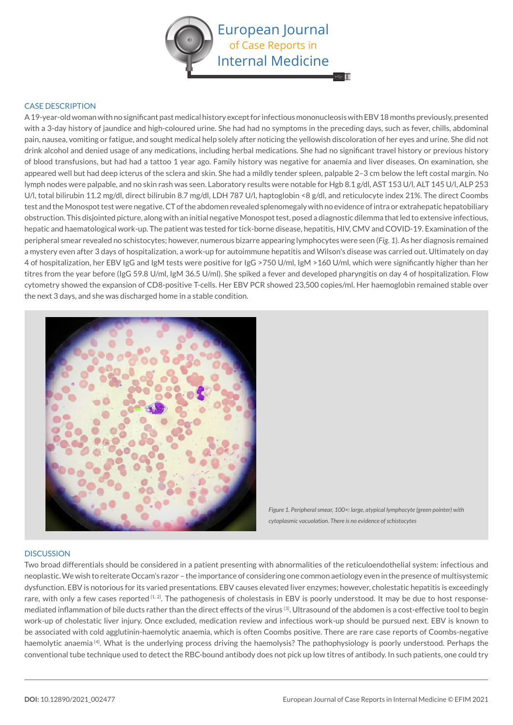

## CASE DESCRIPTION

A 19-year-old woman with no significant past medical history except for infectious mononucleosis with EBV 18 months previously, presented with a 3-day history of jaundice and high-coloured urine. She had had no symptoms in the preceding days, such as fever, chills, abdominal pain, nausea, vomiting or fatigue, and sought medical help solely after noticing the yellowish discoloration of her eyes and urine. She did not drink alcohol and denied usage of any medications, including herbal medications. She had no significant travel history or previous history of blood transfusions, but had had a tattoo 1 year ago. Family history was negative for anaemia and liver diseases. On examination, she appeared well but had deep icterus of the sclera and skin. She had a mildly tender spleen, palpable 2–3 cm below the left costal margin. No lymph nodes were palpable, and no skin rash was seen. Laboratory results were notable for Hgb 8.1 g/dl, AST 153 U/l, ALT 145 U/l, ALP 253 U/l, total bilirubin 11.2 mg/dl, direct bilirubin 8.7 mg/dl, LDH 787 U/l, haptoglobin <8 g/dl, and reticulocyte index 21%. The direct Coombs test and the Monospot test were negative. CT of the abdomen revealed splenomegaly with no evidence of intra or extrahepatic hepatobiliary obstruction. This disjointed picture, along with an initial negative Monospot test, posed a diagnostic dilemma that led to extensive infectious, hepatic and haematological work-up. The patient was tested for tick-borne disease, hepatitis, HIV, CMV and COVID-19. Examination of the peripheral smear revealed no schistocytes; however, numerous bizarre appearing lymphocytes were seen (*Fig. 1*). As her diagnosis remained a mystery even after 3 days of hospitalization, a work-up for autoimmune hepatitis and Wilson's disease was carried out. Ultimately on day 4 of hospitalization, her EBV IgG and IgM tests were positive for IgG >750 U/ml, IgM >160 U/ml, which were significantly higher than her titres from the year before (IgG 59.8 U/ml, IgM 36.5 U/ml). She spiked a fever and developed pharyngitis on day 4 of hospitalization. Flow cytometry showed the expansion of CD8-positive T-cells. Her EBV PCR showed 23,500 copies/ml. Her haemoglobin remained stable over the next 3 days, and she was discharged home in a stable condition.



*Figure 1. Peripheral smear, 100×: large, atypical lymphocyte (green pointer) with cytoplasmic vacuolation. There is no evidence of schistocytes*

#### **DISCUSSION**

Two broad differentials should be considered in a patient presenting with abnormalities of the reticuloendothelial system: infectious and neoplastic. We wish to reiterate Occam's razor – the importance of considering one common aetiology even in the presence of multisystemic dysfunction. EBV is notorious for its varied presentations. EBV causes elevated liver enzymes; however, cholestatic hepatitis is exceedingly rare, with only a few cases reported [1,2]. The pathogenesis of cholestasis in EBV is poorly understood. It may be due to host responsemediated inflammation of bile ducts rather than the direct effects of the virus [3]. Ultrasound of the abdomen is a cost-effective tool to begin work-up of cholestatic liver injury. Once excluded, medication review and infectious work-up should be pursued next. EBV is known to be associated with cold agglutinin-haemolytic anaemia, which is often Coombs positive. There are rare case reports of Coombs-negative haemolytic anaemia <sup>[4]</sup>. What is the underlying process driving the haemolysis? The pathophysiology is poorly understood. Perhaps the conventional tube technique used to detect the RBC-bound antibody does not pick up low titres of antibody. In such patients, one could try